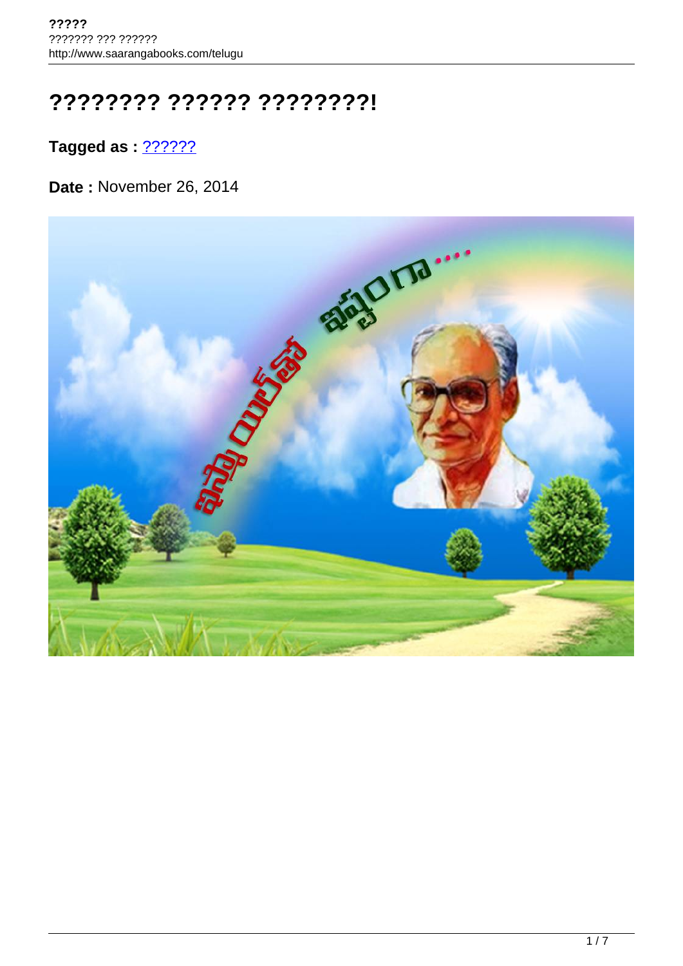## **???????? ?????? ????????!**

**Tagged as : 22222222** 

**Date :** November 26, 2014

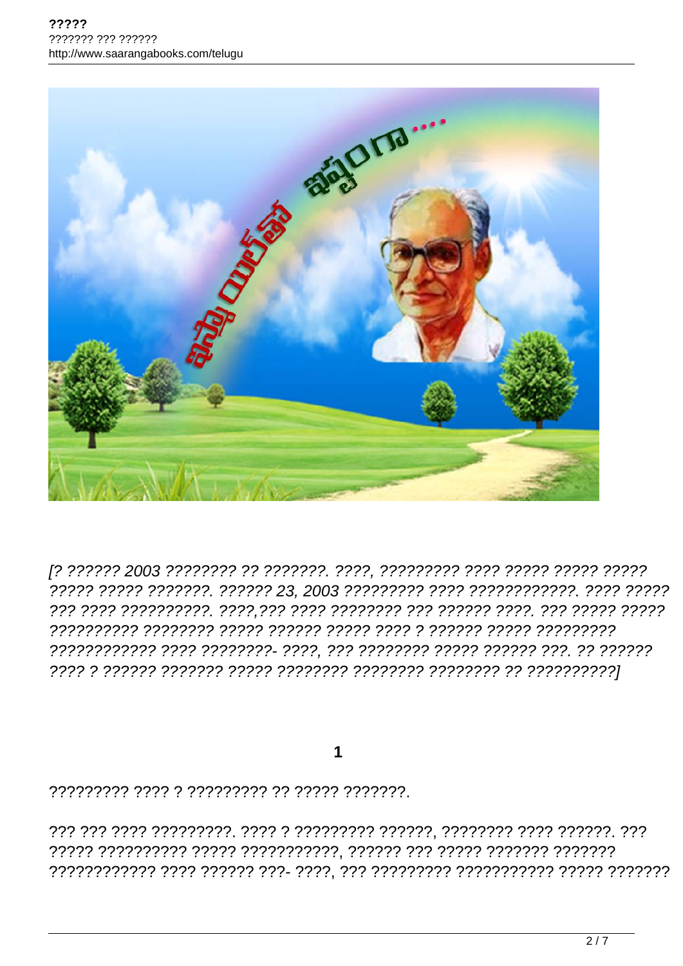

[? ?????? 2003 ???????? ?? ???????. ????, ????????? ???? ????? ????? ????? 

1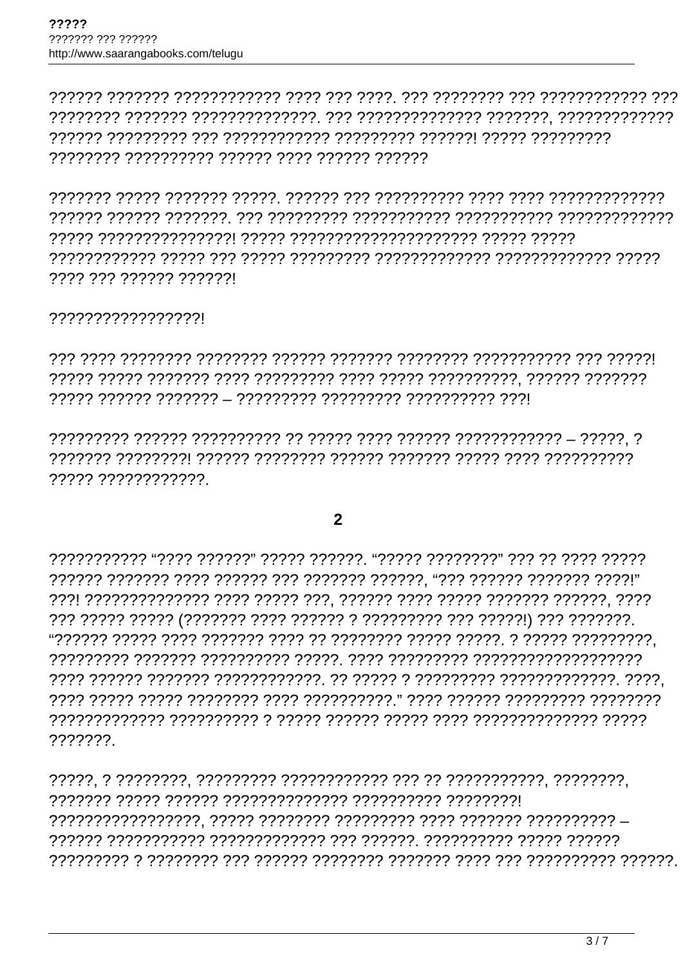7777 777 777777 7777771

?????????????????

????? ????????????

## $\overline{2}$

???????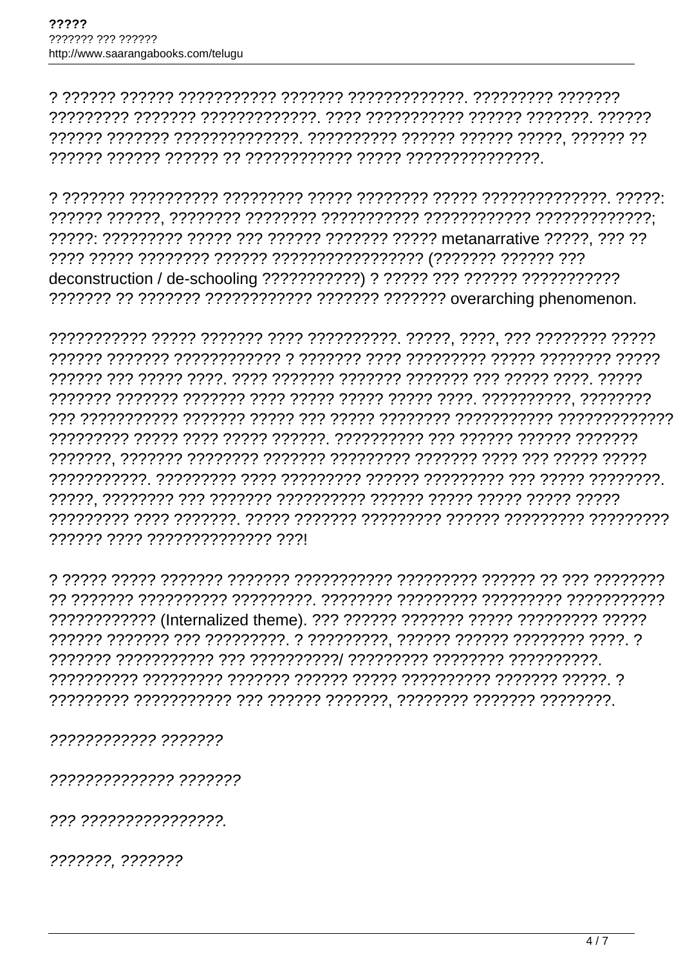<u>ַיְרִיִרְיָרְ רְיִרְיִרְיְרְיִרְיְרָיךָ הְרָיְרָיךָ הְרָיְרָיָרָ הְרָיְרָיְרְיִרְיִרְיִ הְרָיִרְיִרְיָךָ הְרָ</u> 

777777 7777 777777777777777 7771

777777777777 7777777

?????????????? ???????

??? ????????????????

???????. ???????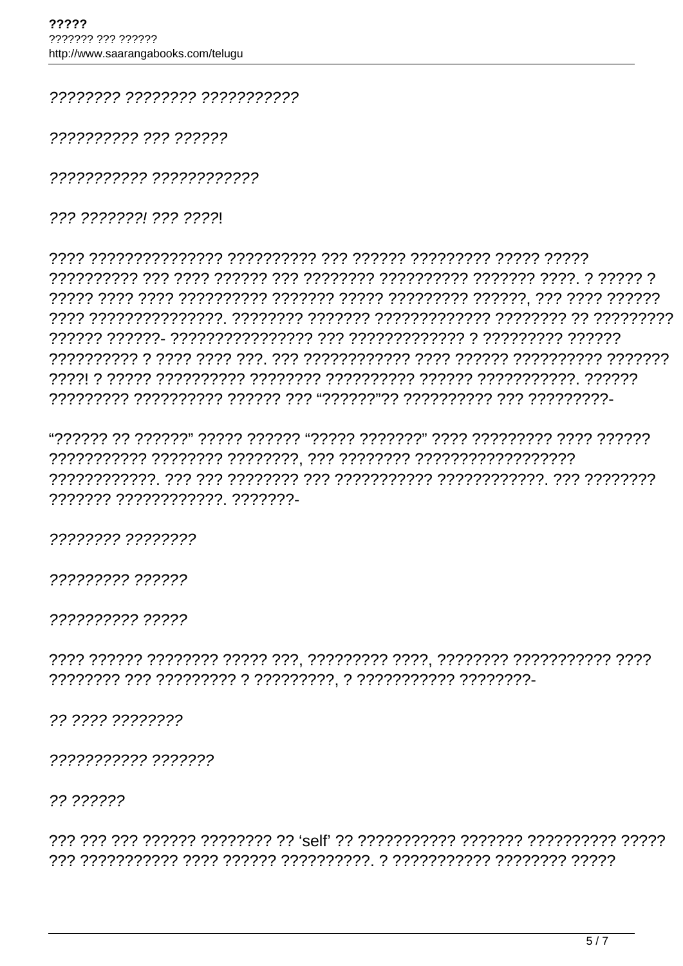77777777 77777777 77777777777

2222222222 222 222222

??????????? ????????????

222 22222221 222 22221

7777777 777777777777 77777772

22222222 22222222

????????? ??????

?????????? ?????

22 2222 22222222

22222222222 2222222

22 222222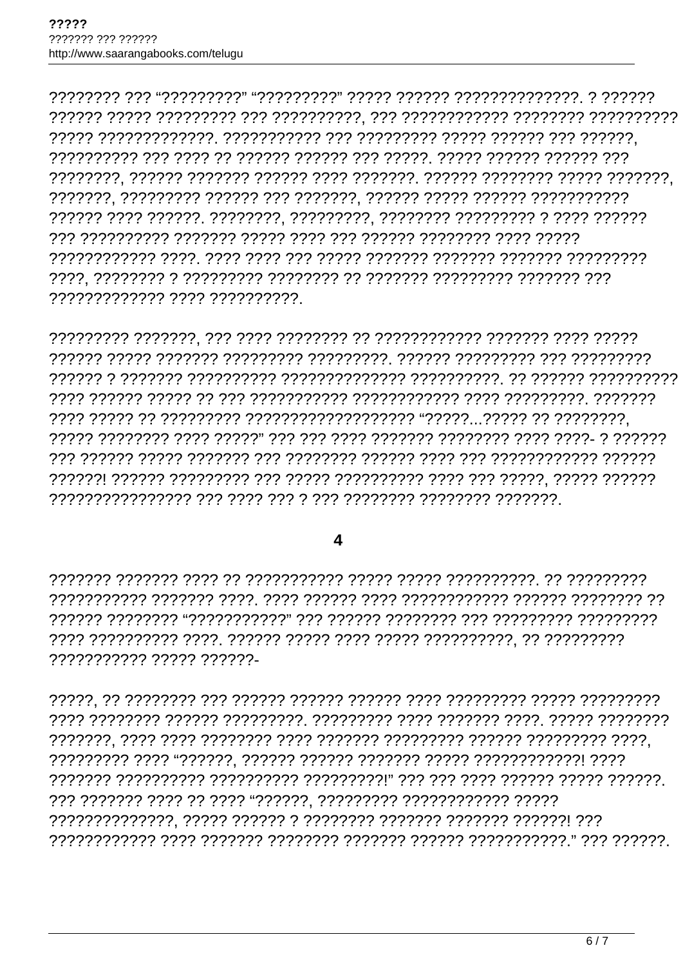????????????? ???? ??????????

## $\overline{\mathbf{4}}$

77777777777 77777 777777-